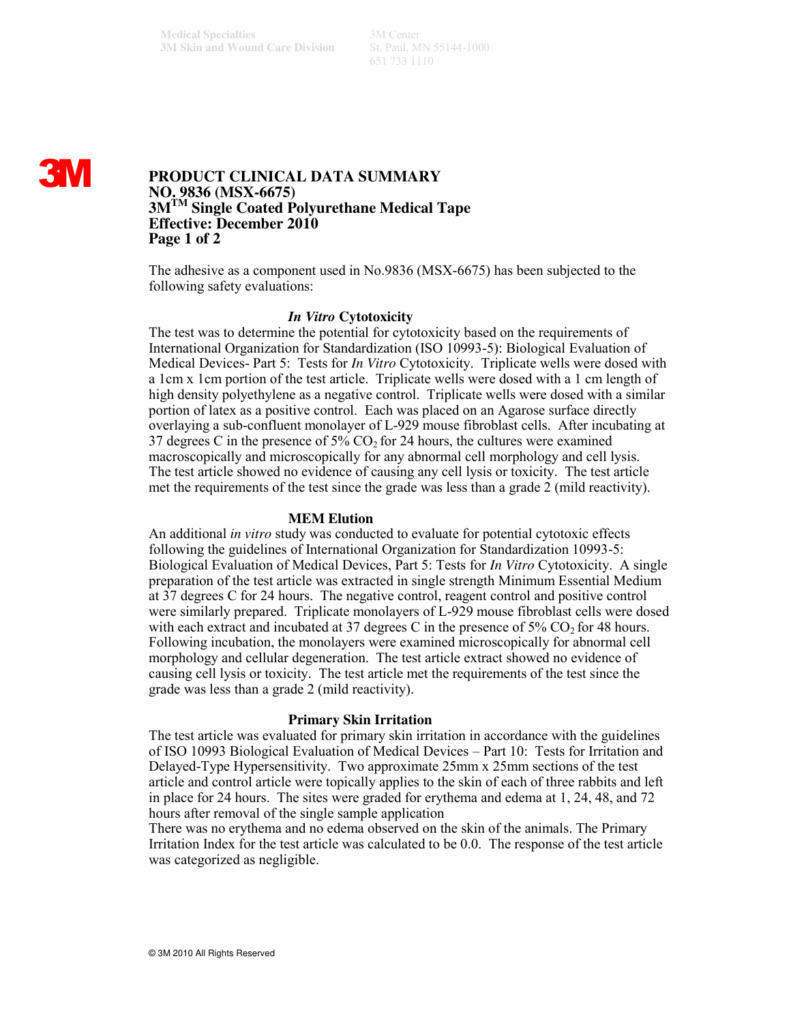651 733 1110

# **3M**

# **PRODUCT CLINICAL DATA SUMMARY NO. 9836 (MSX-6675) 3MTM Single Coated Polyurethane Medical Tape Effective: December 2010 Page 1 of 2**

The adhesive as a component used in No.9836 (MSX-6675) has been subjected to the following safety evaluations:

## *In Vitro* **Cytotoxicity**

The test was to determine the potential for cytotoxicity based on the requirements of International Organization for Standardization (ISO 10993-5): Biological Evaluation of Medical Devices- Part 5: Tests for *In Vitro* Cytotoxicity. Triplicate wells were dosed with a 1cm x 1cm portion of the test article. Triplicate wells were dosed with a 1 cm length of high density polyethylene as a negative control. Triplicate wells were dosed with a similar portion of latex as a positive control. Each was placed on an Agarose surface directly overlaying a sub-confluent monolayer of L-929 mouse fibroblast cells. After incubating at 37 degrees C in the presence of  $5\%$  CO<sub>2</sub> for 24 hours, the cultures were examined macroscopically and microscopically for any abnormal cell morphology and cell lysis. The test article showed no evidence of causing any cell lysis or toxicity. The test article met the requirements of the test since the grade was less than a grade 2 (mild reactivity).

#### **MEM Elution**

An additional *in vitro* study was conducted to evaluate for potential cytotoxic effects following the guidelines of International Organization for Standardization 10993-5: Biological Evaluation of Medical Devices, Part 5: Tests for *In Vitro* Cytotoxicity. A single preparation of the test article was extracted in single strength Minimum Essential Medium at 37 degrees C for 24 hours. The negative control, reagent control and positive control were similarly prepared. Triplicate monolayers of L-929 mouse fibroblast cells were dosed with each extract and incubated at 37 degrees C in the presence of  $5\%$  CO<sub>2</sub> for 48 hours. Following incubation, the monolayers were examined microscopically for abnormal cell morphology and cellular degeneration. The test article extract showed no evidence of causing cell lysis or toxicity. The test article met the requirements of the test since the grade was less than a grade 2 (mild reactivity).

#### **Primary Skin Irritation**

The test article was evaluated for primary skin irritation in accordance with the guidelines of ISO 10993 Biological Evaluation of Medical Devices – Part 10: Tests for Irritation and Delayed-Type Hypersensitivity. Two approximate 25mm x 25mm sections of the test article and control article were topically applies to the skin of each of three rabbits and left in place for 24 hours. The sites were graded for erythema and edema at 1, 24, 48, and 72 hours after removal of the single sample application

There was no erythema and no edema observed on the skin of the animals. The Primary Irritation Index for the test article was calculated to be 0.0. The response of the test article was categorized as negligible.